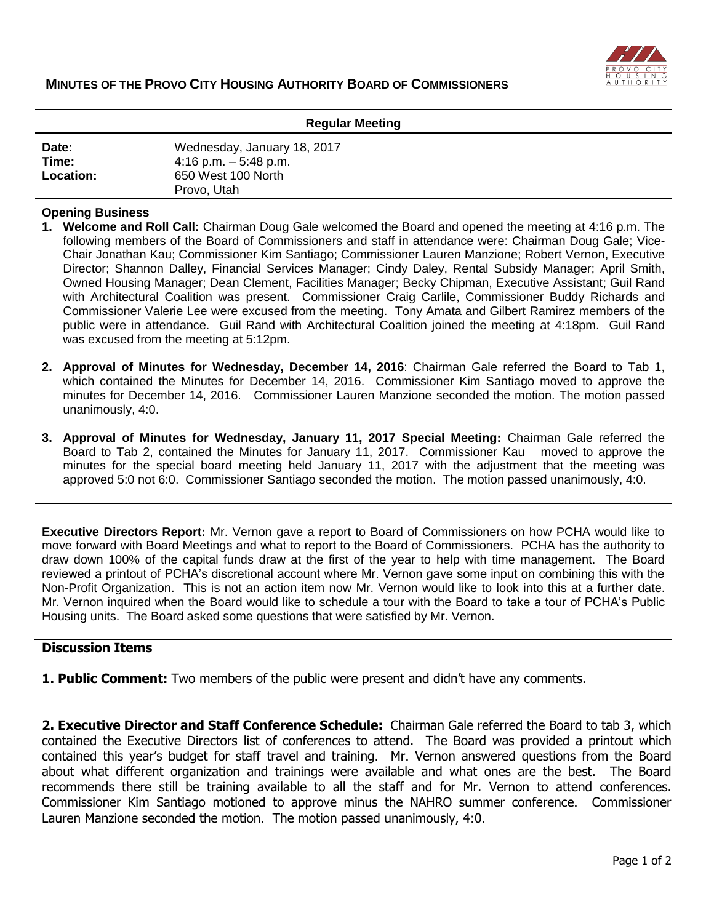

| <b>Regular Meeting</b>      |                                                                                            |
|-----------------------------|--------------------------------------------------------------------------------------------|
| Date:<br>Time:<br>Location: | Wednesday, January 18, 2017<br>4:16 p.m. $-5:48$ p.m.<br>650 West 100 North<br>Provo, Utah |

## **Opening Business**

- **1. Welcome and Roll Call:** Chairman Doug Gale welcomed the Board and opened the meeting at 4:16 p.m. The following members of the Board of Commissioners and staff in attendance were: Chairman Doug Gale; Vice-Chair Jonathan Kau; Commissioner Kim Santiago; Commissioner Lauren Manzione; Robert Vernon, Executive Director; Shannon Dalley, Financial Services Manager; Cindy Daley, Rental Subsidy Manager; April Smith, Owned Housing Manager; Dean Clement, Facilities Manager; Becky Chipman, Executive Assistant; Guil Rand with Architectural Coalition was present. Commissioner Craig Carlile, Commissioner Buddy Richards and Commissioner Valerie Lee were excused from the meeting. Tony Amata and Gilbert Ramirez members of the public were in attendance. Guil Rand with Architectural Coalition joined the meeting at 4:18pm. Guil Rand was excused from the meeting at 5:12pm.
- **2. Approval of Minutes for Wednesday, December 14, 2016**: Chairman Gale referred the Board to Tab 1, which contained the Minutes for December 14, 2016. Commissioner Kim Santiago moved to approve the minutes for December 14, 2016. Commissioner Lauren Manzione seconded the motion. The motion passed unanimously, 4:0.
- **3. Approval of Minutes for Wednesday, January 11, 2017 Special Meeting:** Chairman Gale referred the Board to Tab 2, contained the Minutes for January 11, 2017. Commissioner Kau moved to approve the minutes for the special board meeting held January 11, 2017 with the adjustment that the meeting was approved 5:0 not 6:0. Commissioner Santiago seconded the motion. The motion passed unanimously, 4:0.

**Executive Directors Report:** Mr. Vernon gave a report to Board of Commissioners on how PCHA would like to move forward with Board Meetings and what to report to the Board of Commissioners. PCHA has the authority to draw down 100% of the capital funds draw at the first of the year to help with time management. The Board reviewed a printout of PCHA's discretional account where Mr. Vernon gave some input on combining this with the Non-Profit Organization. This is not an action item now Mr. Vernon would like to look into this at a further date. Mr. Vernon inquired when the Board would like to schedule a tour with the Board to take a tour of PCHA's Public Housing units. The Board asked some questions that were satisfied by Mr. Vernon.

## **Discussion Items**

**1. Public Comment:** Two members of the public were present and didn't have any comments.

**2. Executive Director and Staff Conference Schedule:** Chairman Gale referred the Board to tab 3, which contained the Executive Directors list of conferences to attend. The Board was provided a printout which contained this year's budget for staff travel and training. Mr. Vernon answered questions from the Board about what different organization and trainings were available and what ones are the best. The Board recommends there still be training available to all the staff and for Mr. Vernon to attend conferences. Commissioner Kim Santiago motioned to approve minus the NAHRO summer conference. Commissioner Lauren Manzione seconded the motion. The motion passed unanimously, 4:0.